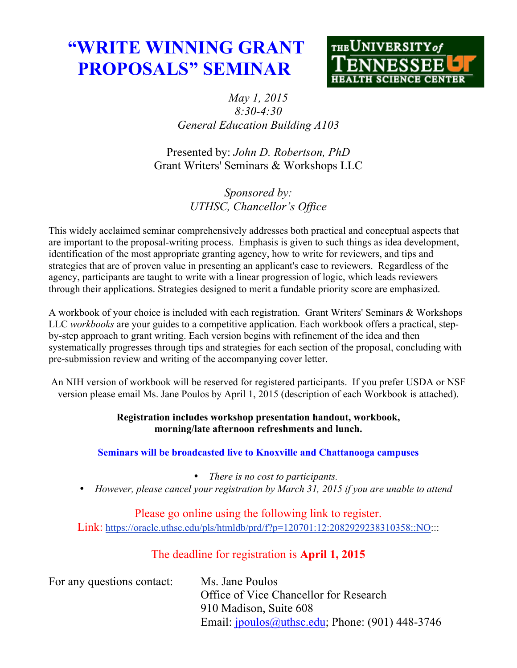# **"WRITE WINNING GRANT PROPOSALS" SEMINAR**



# *May 1, 2015 8:30-4:30 General Education Building A103*

Presented by: *John D. Robertson, PhD* Grant Writers' Seminars & Workshops LLC

> *Sponsored by: UTHSC, Chancellor's Office*

This widely acclaimed seminar comprehensively addresses both practical and conceptual aspects that are important to the proposal-writing process. Emphasis is given to such things as idea development, identification of the most appropriate granting agency, how to write for reviewers, and tips and strategies that are of proven value in presenting an applicant's case to reviewers. Regardless of the agency, participants are taught to write with a linear progression of logic, which leads reviewers through their applications. Strategies designed to merit a fundable priority score are emphasized.

A workbook of your choice is included with each registration. Grant Writers' Seminars & Workshops LLC *workbooks* are your guides to a competitive application. Each workbook offers a practical, stepby-step approach to grant writing. Each version begins with refinement of the idea and then systematically progresses through tips and strategies for each section of the proposal, concluding with pre-submission review and writing of the accompanying cover letter.

An NIH version of workbook will be reserved for registered participants. If you prefer USDA or NSF version please email Ms. Jane Poulos by April 1, 2015 (description of each Workbook is attached).

## **Registration includes workshop presentation handout, workbook, morning/late afternoon refreshments and lunch.**

## **Seminars will be broadcasted live to Knoxville and Chattanooga campuses**

- *There is no cost to participants.*
- *However, please cancel your registration by March 31, 2015 if you are unable to attend*

Please go online using the following link to register. Link: https://oracle.uthsc.edu/pls/htmldb/prd/f?p=120701:12:2082929238310358::NO:::

# The deadline for registration is **April 1, 2015**

| For any questions contact: | Ms. Jane Poulos                                    |
|----------------------------|----------------------------------------------------|
|                            | Office of Vice Chancellor for Research             |
|                            | 910 Madison, Suite 608                             |
|                            | Email: $ipoulos@uthsc.edu$ ; Phone: (901) 448-3746 |